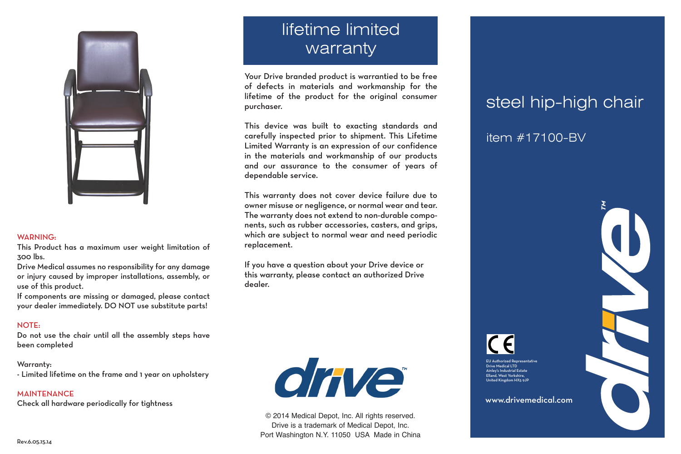

#### WARNING:

This Product has a maximum user weight limitation of 300 lbs.

Drive Medical assumes no responsibility for any damage or injury caused by improper installations, assembly, or use of this product.

If components are missing or damaged, please contact your dealer immediately. DO NOT use substitute parts!

### NOTE:

Do not use the chair until all the assembly steps have been completed

### Warranty:

- Limited lifetime on the frame and 1 year on upholstery

**MAINTENANCE** Check all hardware periodically for tightness

# lifetime limited warranty

Your Drive branded product is warrantied to be free of defects in materials and workmanship for the lifetime of the product for the original consumer purchaser.

This device was built to exacting standards and carefully inspected prior to shipment. This Lifetime Limited Warranty is an expression of our confidence in the materials and workmanship of our products and our assurance to the consumer of years of dependable service.

This warranty does not cover device failure due to owner misuse or negligence, or normal wear and tear. The warranty does not extend to non-durable components, such as rubber accessories, casters, and grips, which are subject to normal wear and need periodic replacement.

If you have a question about your Drive device or this warranty, please contact an authorized Drive dealer.



© 2014 Medical Depot, Inc. All rights reserved. Drive is a trademark of Medical Depot, Inc. Port Washington N.Y. 11050 USA Made in China

## steel hip-high chair

item #17100-BV

www.drivemedical.com

EU Authorized Representative Drive Medical LTD ley's Industrial Estate Elland, West Yorkshire, United Kingdom HX5 9JP